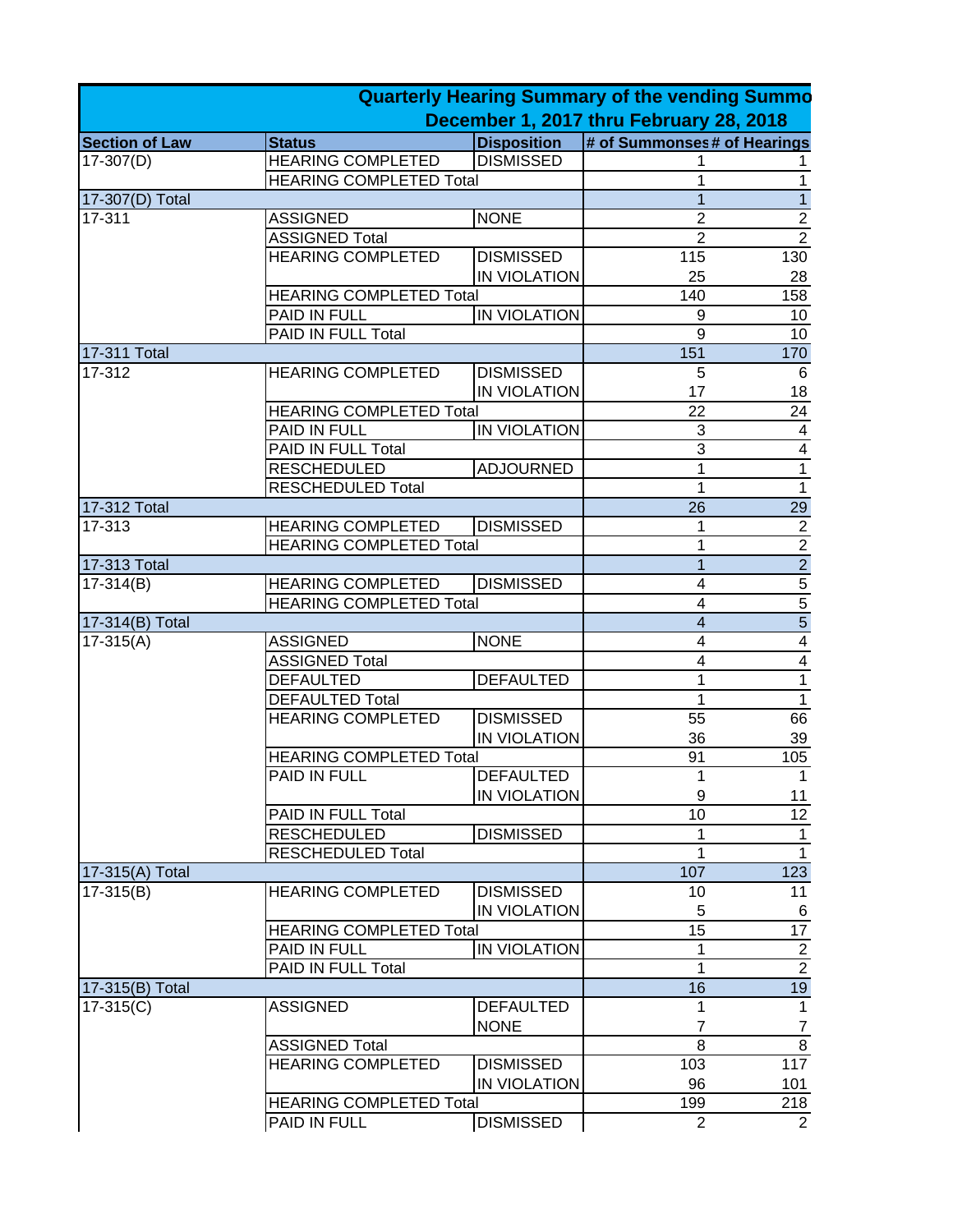|                       |                                |                     | <b>Quarterly Hearing Summary of the vending Summo</b> |                                                         |
|-----------------------|--------------------------------|---------------------|-------------------------------------------------------|---------------------------------------------------------|
|                       |                                |                     | December 1, 2017 thru February 28, 2018               |                                                         |
| <b>Section of Law</b> | <b>Status</b>                  | <b>Disposition</b>  | # of Summonses# of Hearings                           |                                                         |
| $17-307(D)$           | <b>HEARING COMPLETED</b>       | <b>DISMISSED</b>    |                                                       | 1                                                       |
|                       | <b>HEARING COMPLETED Total</b> |                     | 1                                                     | $\mathbf 1$                                             |
| 17-307(D) Total       |                                |                     | 1                                                     | $\overline{1}$                                          |
| 17-311                | <b>ASSIGNED</b>                | <b>NONE</b>         | $\overline{2}$                                        | $\frac{2}{2}$                                           |
|                       | <b>ASSIGNED Total</b>          |                     | $\overline{2}$                                        |                                                         |
|                       | <b>HEARING COMPLETED</b>       | <b>DISMISSED</b>    | 115                                                   | 130                                                     |
|                       |                                | IN VIOLATION        | 25                                                    | 28                                                      |
|                       | <b>HEARING COMPLETED Total</b> |                     | 140                                                   | 158                                                     |
|                       | PAID IN FULL                   | <b>IN VIOLATION</b> | 9                                                     | 10                                                      |
|                       | PAID IN FULL Total             |                     | $\overline{9}$                                        | 10                                                      |
| 17-311 Total          |                                |                     | 151                                                   | 170                                                     |
| 17-312                | <b>HEARING COMPLETED</b>       | <b>DISMISSED</b>    | 5                                                     | 6                                                       |
|                       |                                | IN VIOLATION        | 17                                                    | 18                                                      |
|                       | <b>HEARING COMPLETED Total</b> |                     | 22                                                    | 24                                                      |
|                       | PAID IN FULL                   | <b>IN VIOLATION</b> | 3                                                     | $\overline{\mathbf{4}}$                                 |
|                       | PAID IN FULL Total             |                     | $\overline{3}$                                        | $\overline{\mathbf{4}}$                                 |
|                       | <b>RESCHEDULED</b>             | <b>ADJOURNED</b>    | 1                                                     | $\overline{1}$                                          |
|                       | <b>RESCHEDULED Total</b>       |                     | 1                                                     | $\overline{1}$                                          |
| 17-312 Total          |                                |                     | 26                                                    | 29                                                      |
| 17-313                | <b>HEARING COMPLETED</b>       | <b>DISMISSED</b>    | 1                                                     |                                                         |
|                       | <b>HEARING COMPLETED Total</b> |                     | 1                                                     |                                                         |
| 17-313 Total          |                                |                     | 1                                                     |                                                         |
| $17-314(B)$           | <b>HEARING COMPLETED</b>       | <b>DISMISSED</b>    | 4                                                     |                                                         |
|                       | <b>HEARING COMPLETED Total</b> |                     | $\overline{4}$                                        |                                                         |
| 17-314(B) Total       |                                |                     | $\overline{\mathbf{4}}$                               | $\frac{2}{2}$ $\frac{2}{5}$ $\frac{5}{5}$ $\frac{5}{4}$ |
| $17-315(A)$           | <b>ASSIGNED</b>                | <b>NONE</b>         | $\overline{\mathbf{4}}$                               |                                                         |
|                       | <b>ASSIGNED Total</b>          |                     | $\overline{\mathbf{4}}$                               | $\overline{4}$                                          |
|                       | <b>DEFAULTED</b>               | <b>DEFAULTED</b>    | 1                                                     | $\overline{1}$                                          |
|                       | <b>DEFAULTED Total</b>         |                     | 1                                                     | $\overline{1}$                                          |
|                       | <b>HEARING COMPLETED</b>       | <b>DISMISSED</b>    | 55                                                    | 66                                                      |
|                       |                                | IN VIOLATION        | 36                                                    | 39                                                      |
|                       | <b>HEARING COMPLETED Total</b> |                     | 91                                                    | 105                                                     |
|                       | PAID IN FULL                   | <b>DEFAULTED</b>    | 1                                                     | 1                                                       |
|                       |                                | IN VIOLATION        | 9                                                     | 11                                                      |
|                       | PAID IN FULL Total             |                     | 10                                                    | $\overline{12}$                                         |
|                       | <b>RESCHEDULED</b>             | <b>DISMISSED</b>    | 1                                                     | $\mathbf{1}$                                            |
|                       | <b>RESCHEDULED Total</b>       |                     | 1                                                     | $\overline{1}$                                          |
|                       |                                |                     | 107                                                   |                                                         |
| 17-315(A) Total       |                                |                     |                                                       | 123                                                     |
| $17-315(B)$           | <b>HEARING COMPLETED</b>       | <b>DISMISSED</b>    | 10                                                    | 11                                                      |
|                       |                                | IN VIOLATION        | 5                                                     | 6                                                       |
|                       | <b>HEARING COMPLETED Total</b> |                     | 15                                                    | $\overline{17}$                                         |
|                       | PAID IN FULL                   | <b>IN VIOLATION</b> | 1                                                     | $\frac{2}{2}$                                           |
|                       | PAID IN FULL Total             |                     | 1                                                     |                                                         |
| 17-315(B) Total       |                                |                     | 16                                                    | 19                                                      |
| $17-315(C)$           | <b>ASSIGNED</b>                | <b>DEFAULTED</b>    | 1                                                     | $\mathbf 1$                                             |
|                       |                                | <b>NONE</b>         | $\overline{7}$                                        | $\overline{7}$                                          |
|                       | <b>ASSIGNED Total</b>          |                     | $\overline{8}$                                        | $\overline{8}$                                          |
|                       | <b>HEARING COMPLETED</b>       | <b>DISMISSED</b>    | 103                                                   | $\overline{117}$                                        |
|                       |                                | IN VIOLATION        | 96                                                    | 101                                                     |
|                       | <b>HEARING COMPLETED Total</b> |                     | 199                                                   | 218                                                     |
|                       | PAID IN FULL                   | <b>DISMISSED</b>    | $\overline{2}$                                        | $\overline{2}$                                          |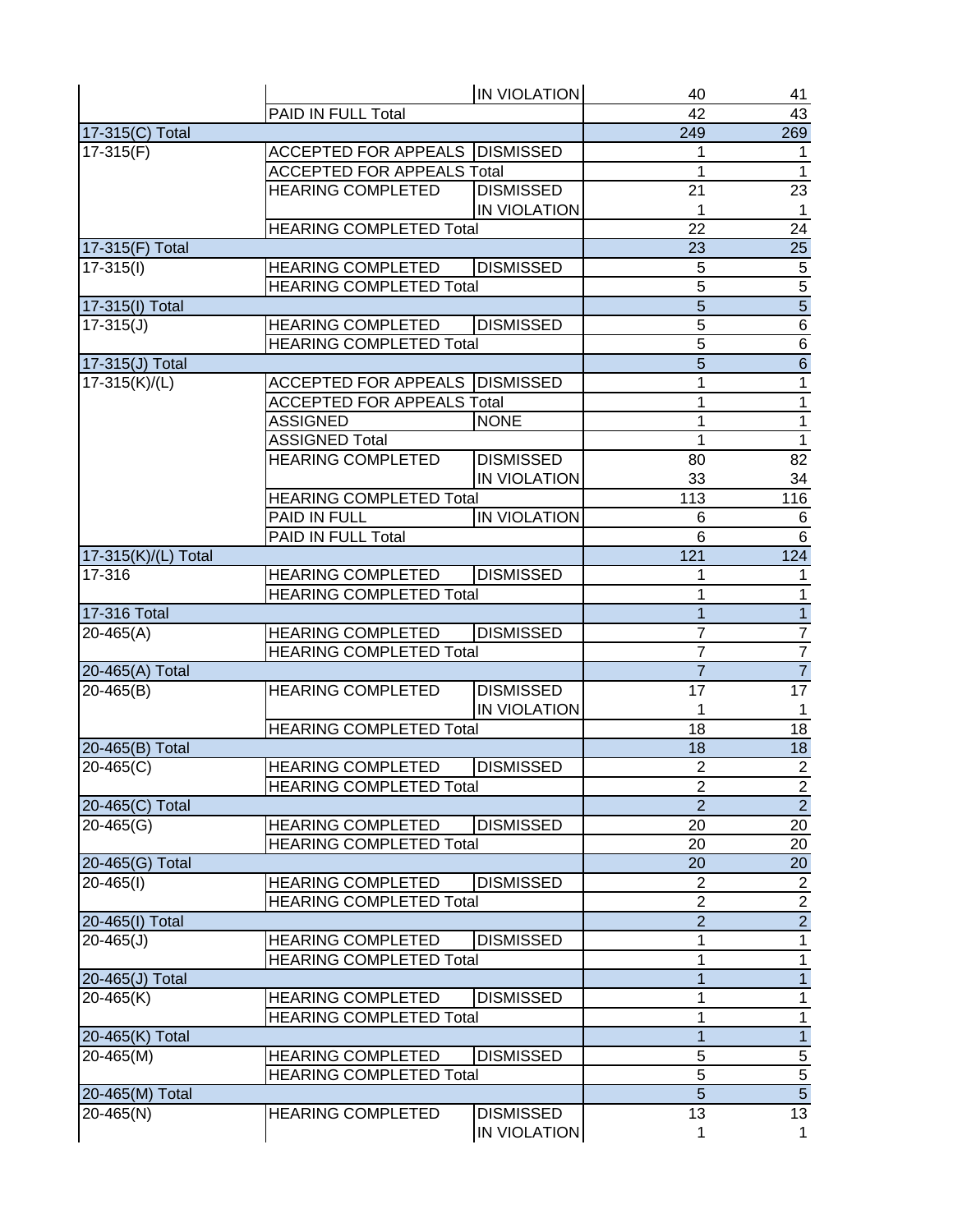|                     |                                   | <b>IN VIOLATION</b> | 40             | 41                          |
|---------------------|-----------------------------------|---------------------|----------------|-----------------------------|
|                     | PAID IN FULL Total                |                     | 42             | 43                          |
| 17-315(C) Total     |                                   |                     | 249            | 269                         |
| $17-315(F)$         | ACCEPTED FOR APPEALS   DISMISSED  |                     | 1              | $\mathbf{1}$                |
|                     | <b>ACCEPTED FOR APPEALS Total</b> |                     | 1              | $\overline{1}$              |
|                     | <b>HEARING COMPLETED</b>          | <b>DISMISSED</b>    | 21             | $\overline{23}$             |
|                     |                                   | <b>IN VIOLATION</b> | 1              | $\mathbf{1}$                |
|                     | <b>HEARING COMPLETED Total</b>    |                     | 22             | 24                          |
| 17-315(F) Total     |                                   |                     | 23             | 25                          |
| $17-315(l)$         | <b>HEARING COMPLETED</b>          | <b>DISMISSED</b>    | 5              |                             |
|                     | <b>HEARING COMPLETED Total</b>    |                     | $\overline{5}$ |                             |
| 17-315(I) Total     |                                   |                     | $\overline{5}$ | $\frac{5}{5}$ $\frac{5}{6}$ |
| $17 - 315(J)$       | <b>HEARING COMPLETED</b>          | <b>DISMISSED</b>    | $\overline{5}$ |                             |
|                     | <b>HEARING COMPLETED Total</b>    |                     | $\overline{5}$ |                             |
| 17-315(J) Total     |                                   |                     | $\overline{5}$ | $\frac{6}{6}$ $\frac{1}{1}$ |
| 17-315(K)/(L)       | ACCEPTED FOR APPEALS   DISMISSED  |                     | 1              |                             |
|                     | <b>ACCEPTED FOR APPEALS Total</b> |                     | 1              |                             |
|                     | <b>ASSIGNED</b>                   | <b>NONE</b>         | 1              |                             |
|                     | <b>ASSIGNED Total</b>             |                     | 1              | $\frac{1}{1}$               |
|                     | <b>HEARING COMPLETED</b>          | <b>DISMISSED</b>    | 80             | 82                          |
|                     |                                   | IN VIOLATION        | 33             |                             |
|                     |                                   |                     |                | 34                          |
|                     | <b>HEARING COMPLETED Total</b>    | <b>IN VIOLATION</b> | 113            | 116                         |
|                     | PAID IN FULL                      |                     | 6              | $\,6$                       |
|                     | PAID IN FULL Total                |                     | 6              | $\overline{6}$              |
| 17-315(K)/(L) Total |                                   |                     | 121            | 124                         |
| 17-316              | <b>HEARING COMPLETED</b>          | <b>DISMISSED</b>    | 1              | $\mathbf{1}$                |
|                     | <b>HEARING COMPLETED Total</b>    |                     | 1              | $\overline{1}$              |
| 17-316 Total        |                                   |                     | $\overline{1}$ | $\overline{1}$              |
| $20 - 465(A)$       | <b>HEARING COMPLETED</b>          | <b>DISMISSED</b>    | $\overline{7}$ | $\frac{7}{7}$               |
|                     | <b>HEARING COMPLETED Total</b>    |                     | $\overline{7}$ |                             |
| 20-465(A) Total     |                                   |                     | $\overline{7}$ | $\overline{7}$              |
| $20 - 465(B)$       | <b>HEARING COMPLETED</b>          | <b>DISMISSED</b>    | 17             | 17                          |
|                     |                                   | IN VIOLATION        | 1              | $\mathbf{1}$                |
|                     | <b>HEARING COMPLETED Total</b>    |                     | 18             | 18                          |
| 20-465(B) Total     |                                   |                     | 18             | $\overline{18}$             |
| $20 - 465(C)$       | <b>HEARING COMPLETED</b>          | <b>DISMISSED</b>    | $\overline{2}$ | $\overline{2}$              |
|                     | <b>HEARING COMPLETED Total</b>    |                     | $\overline{c}$ | $\overline{2}$              |
| 20-465(C) Total     |                                   |                     | $\overline{2}$ | $\overline{2}$              |
| $20 - 465(G)$       | <b>HEARING COMPLETED</b>          | <b>DISMISSED</b>    | 20             | 20                          |
|                     | <b>HEARING COMPLETED Total</b>    |                     | 20             | 20                          |
| 20-465(G) Total     |                                   |                     | 20             | 20                          |
| $20 - 465(1)$       | <b>HEARING COMPLETED</b>          | <b>DISMISSED</b>    | $\overline{2}$ | $\overline{2}$              |
|                     | <b>HEARING COMPLETED Total</b>    |                     | $\overline{2}$ | $\frac{2}{2}$               |
| 20-465(I) Total     |                                   |                     | $\overline{2}$ |                             |
| $20 - 465(J)$       | <b>HEARING COMPLETED</b>          | <b>DISMISSED</b>    | 1              | $\overline{1}$              |
|                     | <b>HEARING COMPLETED Total</b>    |                     | 1              | $\overline{1}$              |
| 20-465(J) Total     |                                   |                     | $\mathbf{1}$   | $\overline{1}$              |
| $20 - 465(K)$       | <b>HEARING COMPLETED</b>          | <b>DISMISSED</b>    | 1              | $\overline{1}$              |
|                     | <b>HEARING COMPLETED Total</b>    |                     | 1              | $\overline{1}$              |
| 20-465(K) Total     |                                   |                     | $\mathbf{1}$   | $\overline{1}$              |
| 20-465(M)           | <b>HEARING COMPLETED</b>          | <b>DISMISSED</b>    | 5              |                             |
|                     | <b>HEARING COMPLETED Total</b>    |                     | $\overline{5}$ | $\frac{5}{5}$               |
| 20-465(M) Total     |                                   |                     | 5              |                             |
| 20-465(N)           | <b>HEARING COMPLETED</b>          | <b>DISMISSED</b>    | 13             | 13                          |
|                     |                                   | IN VIOLATION        | 1              | $\mathbf{1}$                |
|                     |                                   |                     |                |                             |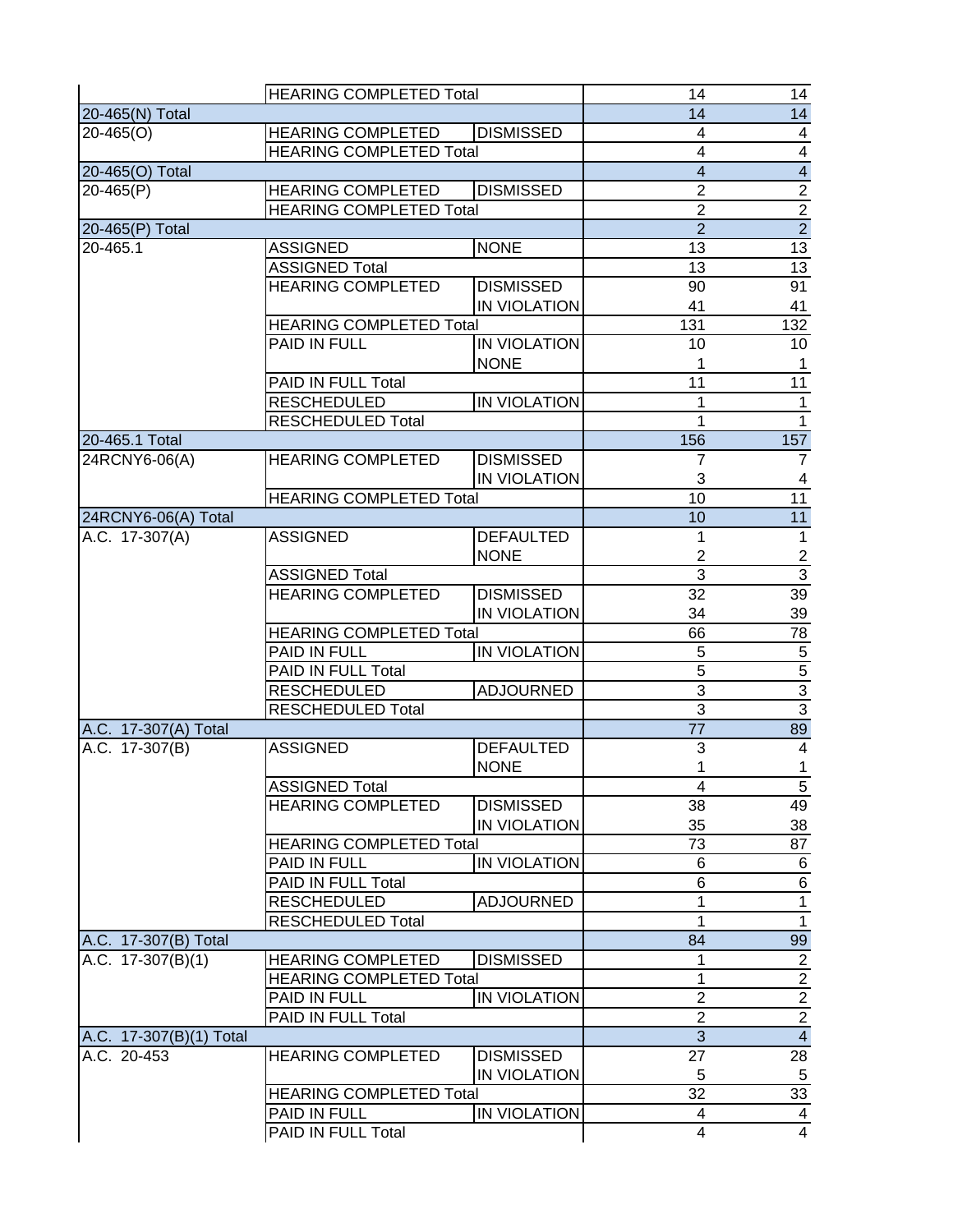|                         | <b>HEARING COMPLETED Total</b> |                     | 14                      | 14                                        |
|-------------------------|--------------------------------|---------------------|-------------------------|-------------------------------------------|
| 20-465(N) Total         |                                | 14                  | $\overline{14}$         |                                           |
| $20 - 465(0)$           | <b>HEARING COMPLETED</b>       | <b>DISMISSED</b>    | 4                       |                                           |
|                         | <b>HEARING COMPLETED Total</b> |                     | $\overline{\mathbf{4}}$ |                                           |
| 20-465(O) Total         |                                |                     | $\overline{\mathbf{4}}$ |                                           |
| $20 - 465(P)$           | <b>HEARING COMPLETED</b>       | <b>DISMISSED</b>    | $\overline{2}$          |                                           |
|                         | <b>HEARING COMPLETED Total</b> |                     | $\overline{2}$          |                                           |
| 20-465(P) Total         |                                |                     | $\overline{2}$          | $\frac{4}{4}$ $\frac{4}{2}$ $\frac{2}{2}$ |
| 20-465.1                | <b>ASSIGNED</b>                | <b>NONE</b>         | 13                      | $\overline{13}$                           |
|                         | <b>ASSIGNED Total</b>          |                     | 13                      | 13                                        |
|                         | <b>HEARING COMPLETED</b>       | <b>DISMISSED</b>    | 90                      | 91                                        |
|                         |                                | <b>IN VIOLATION</b> | 41                      | 41                                        |
|                         | <b>HEARING COMPLETED Total</b> |                     | 131                     | 132                                       |
|                         | PAID IN FULL                   | <b>IN VIOLATION</b> | 10                      | 10                                        |
|                         |                                | <b>NONE</b>         | 1                       | $\mathbf{1}$                              |
|                         | PAID IN FULL Total             |                     | 11                      | 11                                        |
|                         | <b>RESCHEDULED</b>             | <b>IN VIOLATION</b> | 1                       | $\mathbf{1}$                              |
|                         | <b>RESCHEDULED Total</b>       |                     | 1                       | $\mathbf{1}$                              |
| 20-465.1 Total          |                                |                     | 156                     | 157                                       |
| 24RCNY6-06(A)           | <b>HEARING COMPLETED</b>       | <b>DISMISSED</b>    | 7                       | $\overline{7}$                            |
|                         |                                | <b>IN VIOLATION</b> | 3                       | $\overline{4}$                            |
|                         | <b>HEARING COMPLETED Total</b> |                     | 10                      | 11                                        |
| 24RCNY6-06(A) Total     |                                |                     | 10                      | 11                                        |
| A.C. 17-307(A)          | <b>ASSIGNED</b>                | <b>DEFAULTED</b>    | 1                       | $\overline{1}$                            |
|                         |                                | <b>NONE</b>         | $\overline{2}$          |                                           |
|                         | <b>ASSIGNED Total</b>          |                     | $\overline{3}$          | $\frac{2}{3}$                             |
|                         | <b>HEARING COMPLETED</b>       | <b>DISMISSED</b>    | $\overline{32}$         | 39                                        |
|                         |                                | <b>IN VIOLATION</b> | 34                      | 39                                        |
|                         | <b>HEARING COMPLETED Total</b> |                     | 66                      | 78                                        |
|                         | <b>PAID IN FULL</b>            | <b>IN VIOLATION</b> | 5                       | $\,$ 5 $\,$                               |
|                         | PAID IN FULL Total             |                     | $\overline{5}$          |                                           |
|                         | <b>RESCHEDULED</b>             | <b>ADJOURNED</b>    | $\overline{3}$          |                                           |
|                         | RESCHEDULED Total              |                     | $\overline{3}$          | $\frac{5}{3}$                             |
| A.C. 17-307(A) Total    |                                |                     | 77                      | 89                                        |
| A.C. 17-307(B)          | <b>ASSIGNED</b>                | <b>DEFAULTED</b>    | 3                       | $\overline{4}$                            |
|                         |                                | <b>NONE</b>         | 1                       | $\mathbf 1$                               |
|                         | <b>ASSIGNED Total</b>          |                     | 4                       | $\overline{5}$                            |
|                         | <b>HEARING COMPLETED</b>       | <b>DISMISSED</b>    | 38                      | 49                                        |
|                         |                                | IN VIOLATION        | 35                      | 38                                        |
|                         | <b>HEARING COMPLETED Total</b> | 73                  | 87                      |                                           |
|                         | <b>PAID IN FULL</b>            | IN VIOLATION        | 6                       | $\,6$                                     |
|                         | PAID IN FULL Total             |                     | 6                       | $\,6$                                     |
|                         | <b>RESCHEDULED</b>             | <b>ADJOURNED</b>    | 1                       | $\mathbf{1}$                              |
|                         | <b>RESCHEDULED Total</b>       |                     | 1                       | $\overline{1}$                            |
| A.C. 17-307(B) Total    |                                |                     | 84                      | 99                                        |
| A.C. $17-307(B)(1)$     | <b>HEARING COMPLETED</b>       | <b>DISMISSED</b>    | 1                       | $\overline{2}$                            |
|                         | <b>HEARING COMPLETED Total</b> |                     | 1                       | $\overline{2}$                            |
|                         | PAID IN FULL                   | <b>IN VIOLATION</b> | $\overline{2}$          | $\overline{2}$                            |
|                         | PAID IN FULL Total             |                     | $\boldsymbol{2}$        | $\overline{2}$                            |
| A.C. 17-307(B)(1) Total |                                |                     | $\overline{3}$          | $\overline{4}$                            |
| A.C. 20-453             | <b>HEARING COMPLETED</b>       | <b>DISMISSED</b>    | 27                      | 28                                        |
|                         |                                | <b>IN VIOLATION</b> | 5                       | $\overline{5}$                            |
|                         | <b>HEARING COMPLETED Total</b> |                     | 32                      | $\overline{33}$                           |
|                         | PAID IN FULL                   | <b>IN VIOLATION</b> | 4                       | $\overline{4}$                            |
|                         | <b>PAID IN FULL Total</b>      |                     | $\overline{4}$          | $\overline{4}$                            |
|                         |                                |                     |                         |                                           |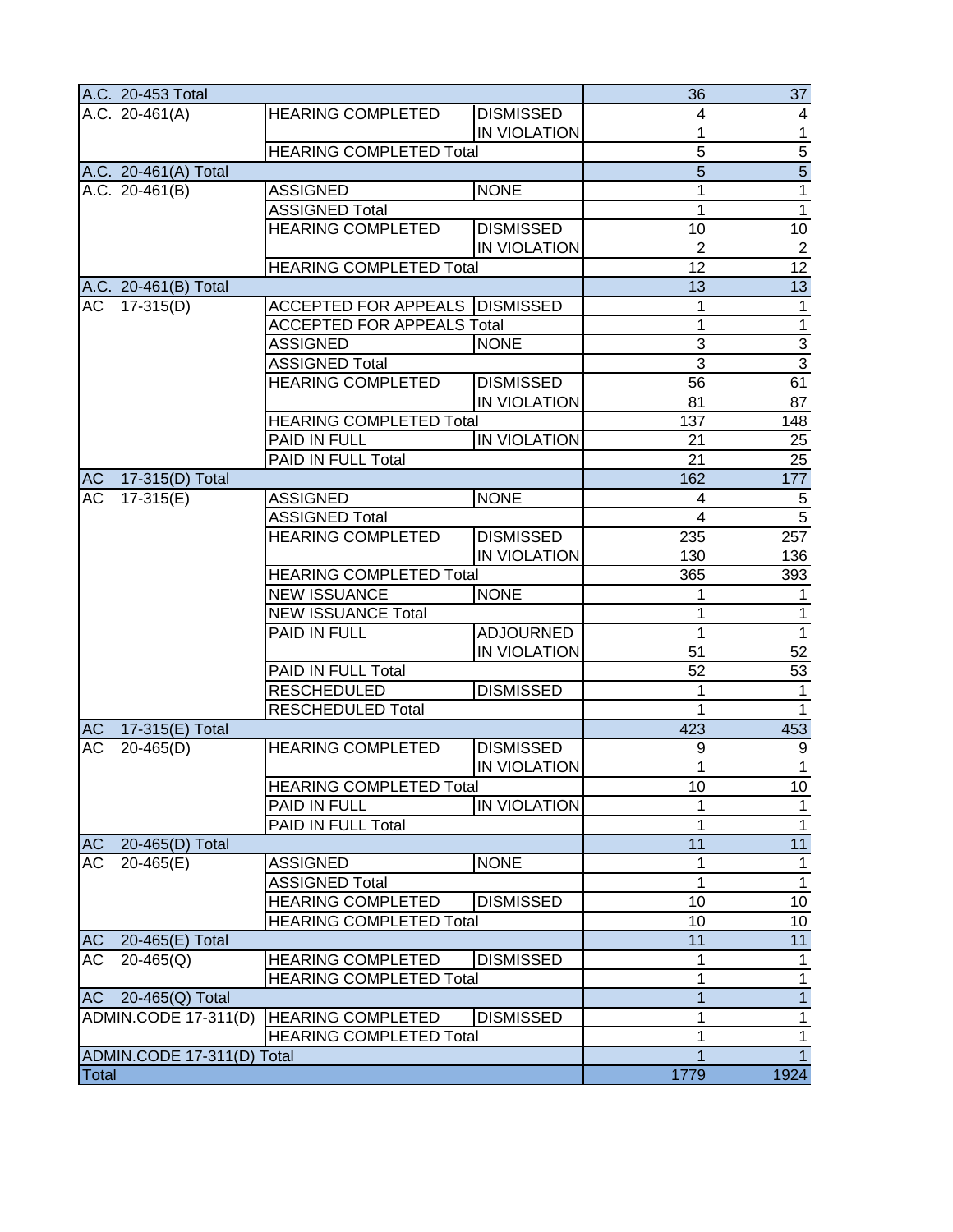|              | A.C. 20-453 Total           |                                         |                     | 36                      | 37                      |
|--------------|-----------------------------|-----------------------------------------|---------------------|-------------------------|-------------------------|
|              | A.C. $20-461(A)$            | <b>HEARING COMPLETED</b>                | <b>DISMISSED</b>    | 4                       | 4                       |
|              |                             |                                         | IN VIOLATION        | 1                       | $\mathbf{1}$            |
|              |                             | <b>HEARING COMPLETED Total</b>          |                     | $\overline{5}$          |                         |
|              | A.C. 20-461(A) Total        |                                         |                     | $\overline{5}$          | $\frac{5}{5}$           |
|              | A.C. 20-461(B)              | <b>ASSIGNED</b>                         | <b>NONE</b>         | 1                       |                         |
|              |                             | <b>ASSIGNED Total</b>                   |                     | 1                       | $\overline{1}$          |
|              |                             | <b>HEARING COMPLETED</b>                | <b>DISMISSED</b>    | 10                      | 10                      |
|              |                             |                                         | IN VIOLATION        | $\overline{2}$          | $\overline{2}$          |
|              |                             | <b>HEARING COMPLETED Total</b>          |                     | 12                      | $\overline{12}$         |
|              | A.C. 20-461(B) Total        |                                         |                     | 13                      | 13                      |
| AC           | $17-315(D)$                 | <b>ACCEPTED FOR APPEALS   DISMISSED</b> |                     | 1                       | $\mathbf{1}$            |
|              |                             | <b>ACCEPTED FOR APPEALS Total</b>       |                     | 1                       | $\overline{\mathbf{1}}$ |
|              |                             | <b>ASSIGNED</b>                         | <b>NONE</b>         | 3                       | $\frac{3}{3}$           |
|              |                             | <b>ASSIGNED Total</b>                   |                     | $\overline{3}$          |                         |
|              |                             | <b>HEARING COMPLETED</b>                | <b>DISMISSED</b>    | 56                      | 61                      |
|              |                             |                                         | IN VIOLATION        | 81                      | 87                      |
|              |                             | <b>HEARING COMPLETED Total</b>          |                     | 137                     | 148                     |
|              |                             | PAID IN FULL                            | IN VIOLATION        | 21                      | 25                      |
|              |                             | PAID IN FULL Total                      |                     | 21                      | $\overline{25}$         |
| <b>AC</b>    | 17-315(D) Total             |                                         |                     | 162                     | 177                     |
| AC           | $17-315(E)$                 | <b>ASSIGNED</b>                         | <b>NONE</b>         | $\overline{\mathbf{4}}$ | $\,$ 5 $\,$             |
|              |                             | <b>ASSIGNED Total</b>                   |                     | $\overline{4}$          | $\overline{5}$          |
|              |                             | <b>HEARING COMPLETED</b>                | <b>DISMISSED</b>    | 235                     | 257                     |
|              |                             |                                         | IN VIOLATION        | 130                     | 136                     |
|              |                             | <b>HEARING COMPLETED Total</b>          |                     | 365                     | 393                     |
|              |                             | <b>NEW ISSUANCE</b>                     | <b>NONE</b>         | 1                       | 1                       |
|              |                             | <b>NEW ISSUANCE Total</b>               |                     | 1                       | $\mathbf{1}$            |
|              |                             | PAID IN FULL                            | <b>ADJOURNED</b>    | 1                       | $\overline{1}$          |
|              |                             |                                         | <b>IN VIOLATION</b> | 51                      | 52                      |
|              |                             | PAID IN FULL Total                      |                     | 52                      | 53                      |
|              |                             | <b>RESCHEDULED</b>                      | <b>DISMISSED</b>    | 1                       | $\mathbf{1}$            |
|              |                             | <b>RESCHEDULED Total</b>                |                     | 1                       | $\mathbf 1$             |
| <b>AC</b>    | 17-315(E) Total             |                                         |                     | 423                     | 453                     |
| <b>AC</b>    | $20 - 465(D)$               | <b>HEARING COMPLETED</b>                | <b>DISMISSED</b>    | 9                       | $\boldsymbol{9}$        |
|              |                             |                                         | IN VIOLATION        | 1                       | $\mathbf 1$             |
|              |                             | <b>HEARING COMPLETED Total</b>          |                     | 10                      | 10                      |
|              |                             | PAID IN FULL                            | IN VIOLATION        | 1                       | $\mathbf 1$             |
|              |                             | PAID IN FULL Total                      |                     | 1                       | $\mathbf 1$             |
| <b>AC</b>    | 20-465(D) Total             |                                         |                     | 11                      | 11                      |
| AC           | $20-465(E)$                 | <b>ASSIGNED</b>                         | <b>NONE</b>         | 1                       | $\mathbf 1$             |
|              |                             | <b>ASSIGNED Total</b>                   |                     | 1                       | $\mathbf{1}$            |
|              |                             | <b>HEARING COMPLETED</b>                | <b>DISMISSED</b>    | 10                      | $10$                    |
|              |                             | <b>HEARING COMPLETED Total</b>          |                     | 10                      | 10                      |
| <b>AC</b>    | 20-465(E) Total             |                                         |                     | 11                      | 11                      |
| <b>AC</b>    | $20 - 465(Q)$               | <b>HEARING COMPLETED</b>                | <b>DISMISSED</b>    | 1                       | 1                       |
|              |                             | <b>HEARING COMPLETED Total</b>          |                     | 1                       | 1                       |
| <b>AC</b>    | 20-465(Q) Total             |                                         |                     | $\overline{1}$          | $\overline{1}$          |
|              | <b>ADMIN.CODE 17-311(D)</b> | <b>HEARING COMPLETED</b>                | <b>DISMISSED</b>    | 1                       | $\overline{1}$          |
|              |                             | <b>HEARING COMPLETED Total</b>          |                     | 1                       | $\mathbf{1}$            |
|              | ADMIN.CODE 17-311(D) Total  |                                         |                     | 1                       | $\overline{1}$          |
| <b>Total</b> |                             |                                         |                     | 1779                    | 1924                    |
|              |                             |                                         |                     |                         |                         |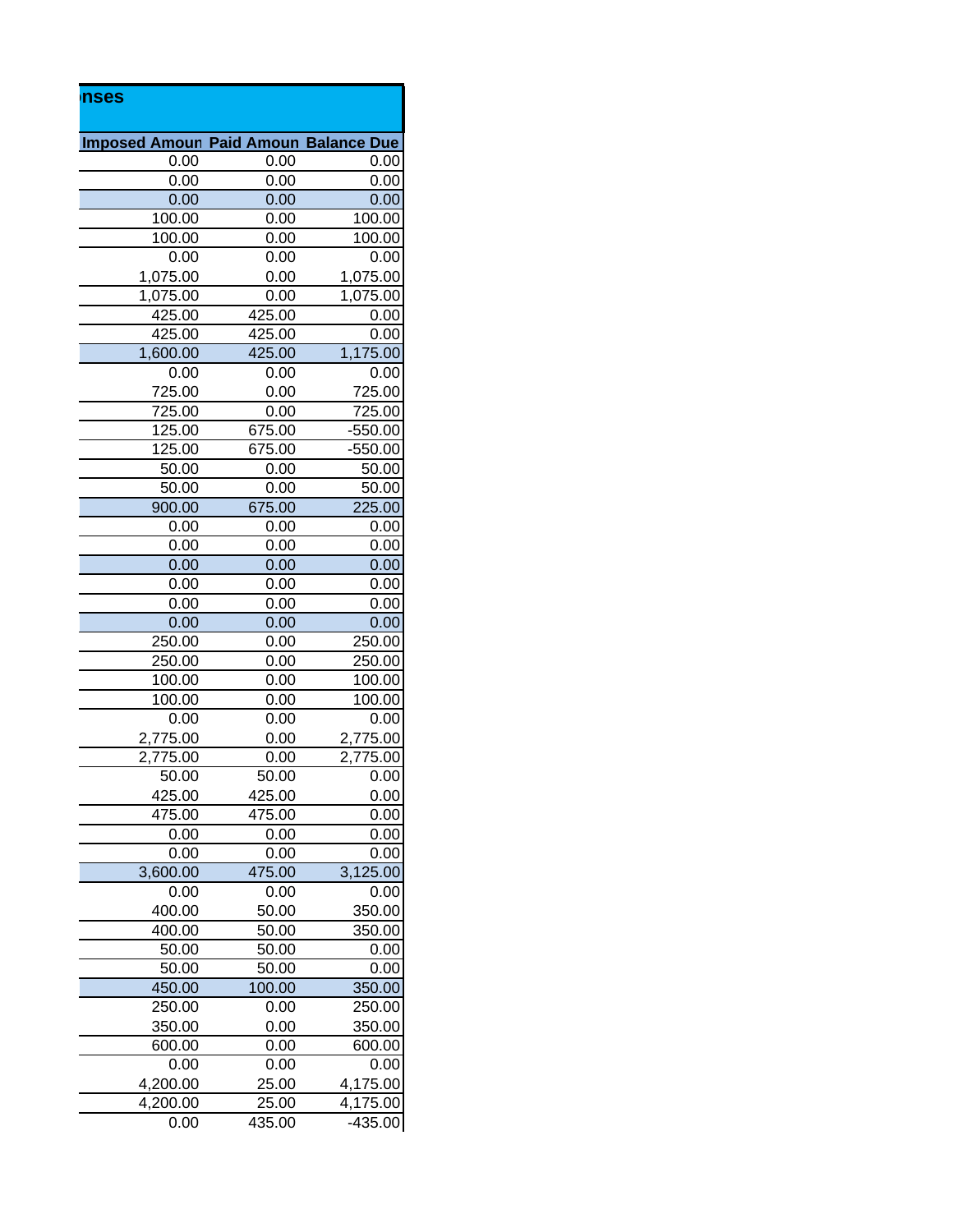| nses |          |                                             |           |
|------|----------|---------------------------------------------|-----------|
|      |          | <b>Imposed Amoun Paid Amoun Balance Due</b> |           |
|      | 0.00     | 0.00                                        | 0.00      |
|      | 0.00     | 0.00                                        | 0.00      |
|      | 0.00     | 0.00                                        | 0.00      |
|      | 100.00   | 0.00                                        | 100.00    |
|      | 100.00   | 0.00                                        | 100.00    |
|      | 0.00     | 0.00                                        | 0.00      |
|      | 1,075.00 | 0.00                                        | 1,075.00  |
|      | 1,075.00 | 0.00                                        | 1,075.00  |
|      | 425.00   | 425.00                                      | 0.00      |
|      | 425.00   | 425.00                                      | 0.00      |
|      | 1,600.00 | 425.00                                      | 1,175.00  |
|      | 0.00     | 0.00                                        | 0.00      |
|      | 725.00   | 0.00                                        | 725.00    |
|      | 725.00   | 0.00                                        | 725.00    |
|      | 125.00   | 675.00                                      | $-550.00$ |
|      | 125.00   | 675.00                                      | $-550.00$ |
|      | 50.00    | 0.00                                        | 50.00     |
|      | 50.00    | 0.00                                        | 50.00     |
|      | 900.00   | 675.00                                      | 225.00    |
|      | 0.00     | 0.00                                        | 0.00      |
|      | 0.00     | 0.00                                        | 0.00      |
|      | 0.00     | 0.00                                        | 0.00      |
|      | 0.00     | 0.00                                        | 0.00      |
|      | 0.00     | 0.00                                        | 0.00      |
|      | 0.00     | 0.00                                        | 0.00      |
|      | 250.00   | 0.00                                        | 250.00    |
|      | 250.00   | 0.00                                        | 250.00    |
|      | 100.00   | 0.00                                        | 100.00    |
|      | 100.00   | 0.00                                        | 100.00    |
|      | 0.00     | 0.00                                        | 0.00      |
|      | 2,775.00 | 0.00                                        | 2,775.00  |
|      | 2,775.00 | 0.00                                        | 2,775.00  |
|      | 50.00    | 50.00                                       | 0.00      |
|      | 425.00   | 425.00                                      | 0.00      |
|      | 475.00   | 475.00                                      | 0.00      |
|      | 0.00     | 0.00                                        | 0.00      |
|      | 0.00     | 0.00                                        | 0.00      |
|      | 3,600.00 | 475.00                                      | 3,125.00  |
|      | 0.00     | 0.00                                        | 0.00      |
|      | 400.00   | 50.00                                       | 350.00    |
|      | 400.00   | 50.00                                       | 350.00    |
|      | 50.00    | 50.00                                       | 0.00      |
|      | 50.00    | 50.00                                       | 0.00      |
|      | 450.00   | 100.00                                      | 350.00    |
|      | 250.00   | 0.00                                        | 250.00    |
|      | 350.00   | 0.00                                        | 350.00    |
|      | 600.00   | 0.00                                        | 600.00    |
|      | 0.00     | 0.00                                        | 0.00      |
|      | 4,200.00 | 25.00                                       | 4,175.00  |
|      | 4,200.00 | 25.00                                       | 4,175.00  |
|      | 0.00     | 435.00                                      | $-435.00$ |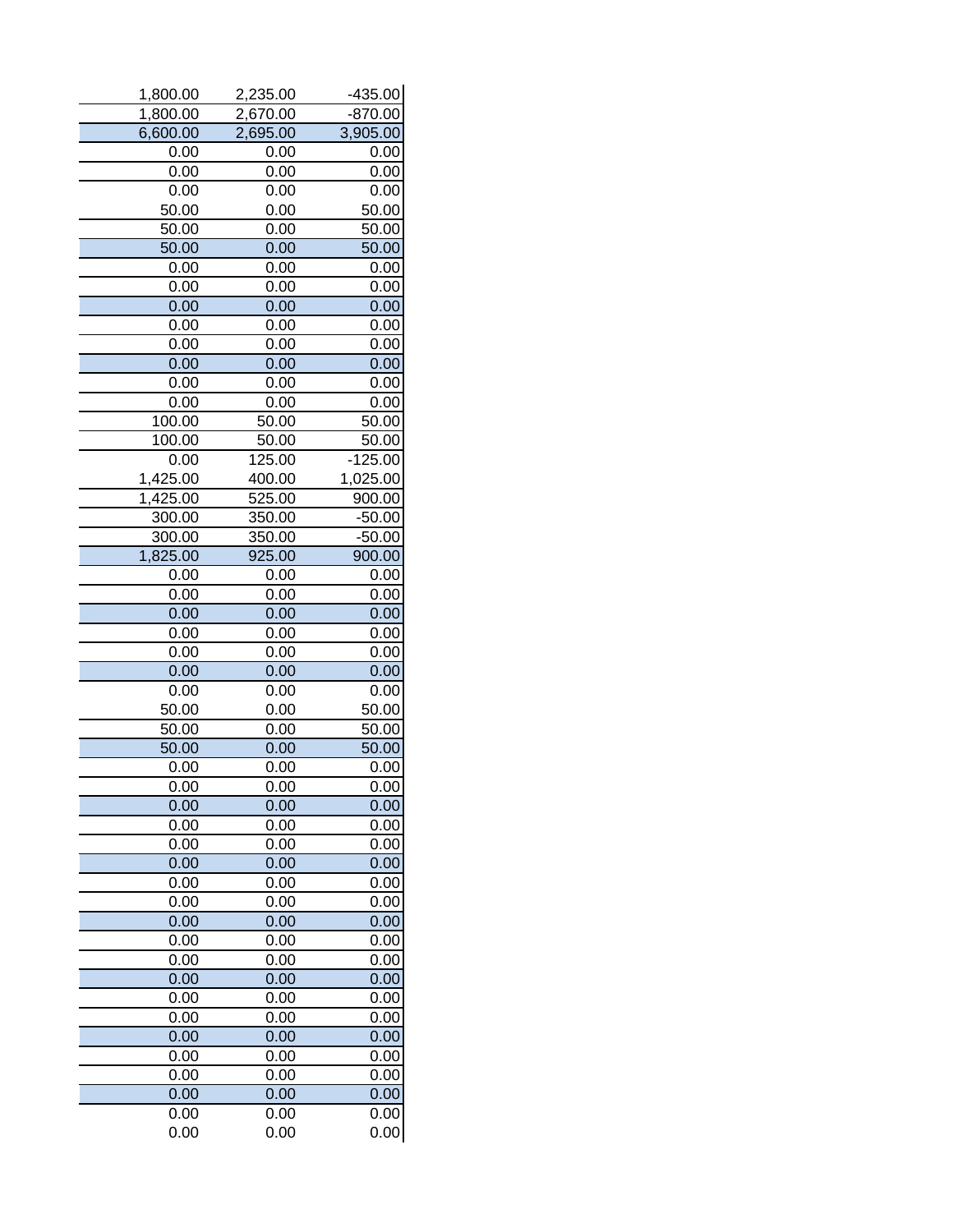| 1,800.00 | 2,235.00 | $-435.00$ |
|----------|----------|-----------|
| 1,800.00 | 2,670.00 | $-870.00$ |
| 6,600.00 | 2,695.00 | 3,905.00  |
| 0.00     | 0.00     | 0.00      |
| 0.00     | 0.00     | 0.00      |
| 0.00     | 0.00     | 0.00      |
| 50.00    | 0.00     | 50.00     |
| 50.00    | 0.00     | 50.00     |
| 50.00    | 0.00     | 50.00     |
| 0.00     | 0.00     | 0.00      |
| 0.00     | 0.00     | 0.00      |
| 0.00     | 0.00     | 0.00      |
| 0.00     | 0.00     | 0.00      |
| 0.00     | 0.00     | 0.00      |
| 0.00     | 0.00     | 0.00      |
| 0.00     | 0.00     | 0.00      |
| 0.00     | 0.00     | 0.00      |
| 100.00   | 50.00    | 50.00     |
| 100.00   | 50.00    | 50.00     |
| 0.00     | 125.00   | $-125.00$ |
| 1,425.00 | 400.00   | 1,025.00  |
| 1,425.00 | 525.00   | 900.00    |
| 300.00   | 350.00   | $-50.00$  |
| 300.00   | 350.00   | $-50.00$  |
| 1,825.00 | 925.00   | 900.00    |
| 0.00     | 0.00     | 0.00      |
| 0.00     | 0.00     | 0.00      |
| 0.00     | 0.00     | 0.00      |
| 0.00     | 0.00     | 0.00      |
| 0.00     | 0.00     | 0.00      |
| 0.00     | 0.00     | 0.00      |
| 0.00     | 0.00     | 0.00      |
| 50.00    | 0.00     | 50.00     |
| 50.00    | 0.00     | 50.00     |
| 50.00    | 0.00     | 50.00     |
| 0.00     | 0.00     | 0.00      |
| 0.00     | 0.00     | 0.00      |
| 0.00     | 0.00     | 0.00      |
| 0.00     | 0.00     | 0.00      |
| 0.00     | 0.00     | 0.00      |
| 0.00     | 0.00     | 0.00      |
| 0.00     | 0.00     | 0.00      |
| 0.00     | 0.00     | 0.00      |
| 0.00     | 0.00     | 0.00      |
| 0.00     | 0.00     | 0.00      |
| 0.00     | 0.00     | 0.00      |
| 0.00     | 0.00     | 0.00      |
| 0.00     | 0.00     | 0.00      |
| 0.00     | 0.00     |           |
| 0.00     |          | 0.00      |
|          | 0.00     | 0.00      |
| 0.00     | 0.00     | 0.00      |
| 0.00     | 0.00     | 0.00      |
| 0.00     | 0.00     | 0.00      |
| 0.00     | 0.00     | 0.00      |
| 0.00     | 0.00     | 0.00      |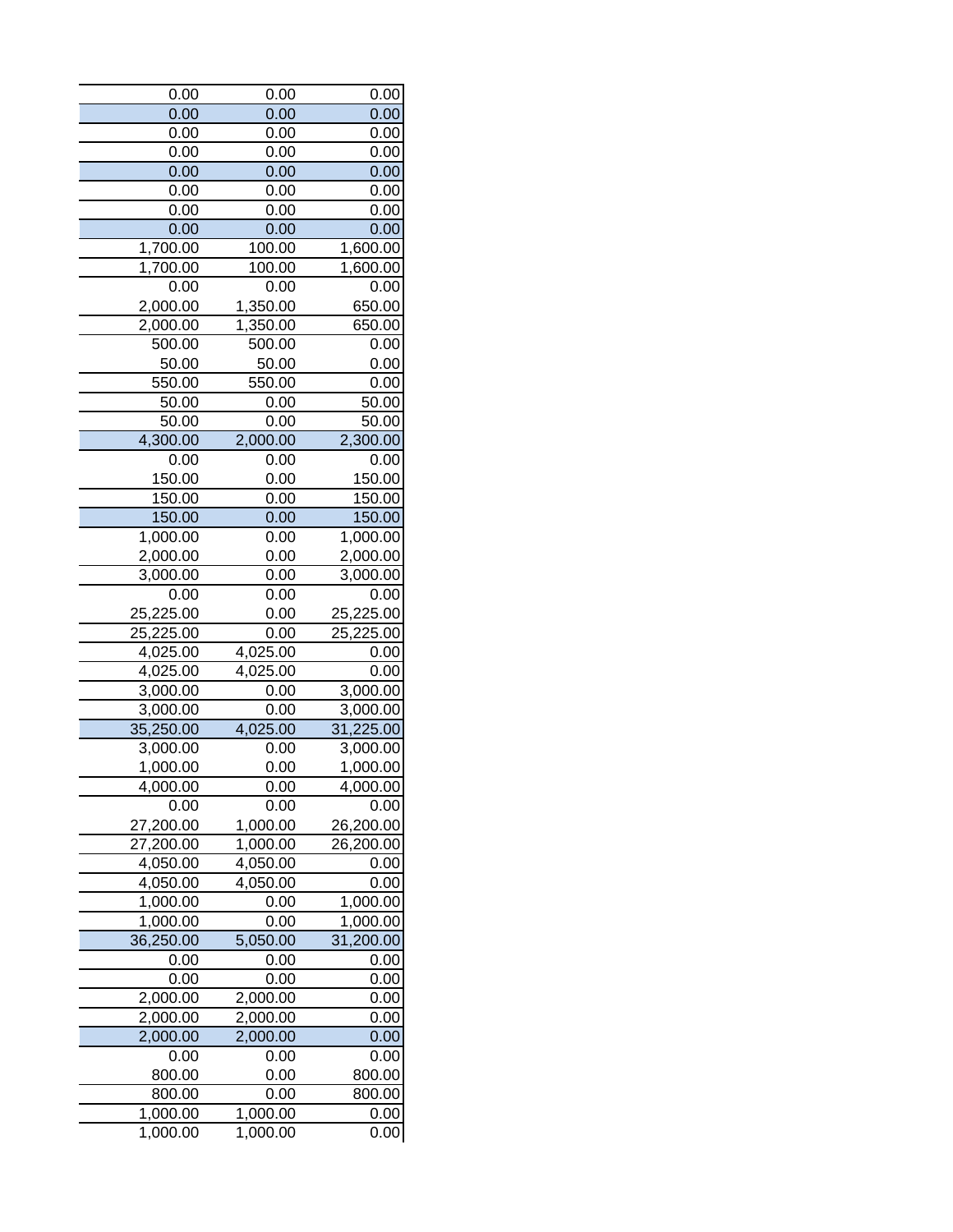| 0.00      | 0.00     | 0.00      |
|-----------|----------|-----------|
| 0.00      | 0.00     | 0.00      |
| 0.00      | 0.00     | 0.00      |
| 0.00      | 0.00     | 0.00      |
| 0.00      | 0.00     | 0.00      |
| 0.00      | 0.00     | 0.00      |
| 0.00      | 0.00     | 0.00      |
| 0.00      | 0.00     | 0.00      |
| 1,700.00  | 100.00   | 1,600.00  |
| 1,700.00  | 100.00   | 1,600.00  |
| 0.00      | 0.00     | 0.00      |
| 2,000.00  | 1,350.00 | 650.00    |
| 2,000.00  | 1,350.00 | 650.00    |
| 500.00    | 500.00   | 0.00      |
| 50.00     | 50.00    | 0.00      |
| 550.00    | 550.00   | 0.00      |
| 50.00     | 0.00     | 50.00     |
| 50.00     | 0.00     | 50.00     |
| 4,300.00  | 2,000.00 | 2,300.00  |
| 0.00      | 0.00     | 0.00      |
| 150.00    | 0.00     | 150.00    |
| 150.00    | 0.00     | 150.00    |
| 150.00    | 0.00     | 150.00    |
| 1,000.00  | 0.00     | 1,000.00  |
| 2,000.00  | 0.00     | 2,000.00  |
| 3,000.00  | 0.00     | 3,000.00  |
| 0.00      | 0.00     | 0.00      |
| 25,225.00 | 0.00     | 25,225.00 |
| 25,225.00 | 0.00     | 25,225.00 |
| 4,025.00  | 4,025.00 | 0.00      |
| 4,025.00  | 4,025.00 | 0.00      |
| 3,000.00  | 0.00     | 3,000.00  |
| 3,000.00  | 0.00     | 3,000.00  |
| 35,250.00 | 4,025.00 | 31,225.00 |
| 3,000.00  | 0.00     | 3,000.00  |
| 1,000.00  | 0.00     | 1,000.00  |
| 4,000.00  | 0.00     | 4,000.00  |
| 0.00      | 0.00     | 0.00      |
| 27,200.00 | 1,000.00 | 26,200.00 |
| 27,200.00 | 1,000.00 | 26,200.00 |
| 4,050.00  | 4,050.00 | 0.00      |
| 4,050.00  | 4,050.00 | 0.00      |
| 1,000.00  | 0.00     | 1,000.00  |
| 1,000.00  | 0.00     | 1,000.00  |
| 36,250.00 | 5,050.00 | 31,200.00 |
| 0.00      | 0.00     | 0.00      |
| 0.00      | 0.00     | 0.00      |
| 2,000.00  | 2,000.00 | 0.00      |
| 2,000.00  | 2,000.00 | 0.00      |
| 2,000.00  | 2,000.00 | 0.00      |
| 0.00      | 0.00     | 0.00      |
| 800.00    | 0.00     | 800.00    |
| 800.00    | 0.00     | 800.00    |
| 1,000.00  | 1,000.00 | 0.00      |
| 1,000.00  | 1,000.00 | 0.00      |
|           |          |           |